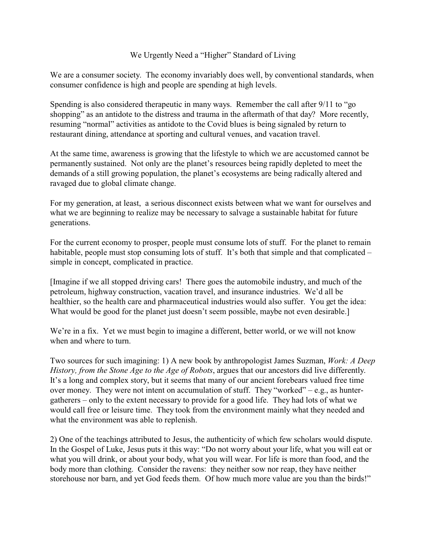## We Urgently Need a "Higher" Standard of Living

We are a consumer society. The economy invariably does well, by conventional standards, when consumer confidence is high and people are spending at high levels.

Spending is also considered therapeutic in many ways. Remember the call after 9/11 to "go shopping" as an antidote to the distress and trauma in the aftermath of that day? More recently, resuming "normal" activities as antidote to the Covid blues is being signaled by return to restaurant dining, attendance at sporting and cultural venues, and vacation travel.

At the same time, awareness is growing that the lifestyle to which we are accustomed cannot be permanently sustained. Not only are the planet's resources being rapidly depleted to meet the demands of a still growing population, the planet's ecosystems are being radically altered and ravaged due to global climate change.

For my generation, at least, a serious disconnect exists between what we want for ourselves and what we are beginning to realize may be necessary to salvage a sustainable habitat for future generations.

For the current economy to prosper, people must consume lots of stuff. For the planet to remain habitable, people must stop consuming lots of stuff. It's both that simple and that complicated – simple in concept, complicated in practice.

[Imagine if we all stopped driving cars! There goes the automobile industry, and much of the petroleum, highway construction, vacation travel, and insurance industries. We'd all be healthier, so the health care and pharmaceutical industries would also suffer. You get the idea: What would be good for the planet just doesn't seem possible, maybe not even desirable.

We're in a fix. Yet we must begin to imagine a different, better world, or we will not know when and where to turn.

Two sources for such imagining: 1) A new book by anthropologist James Suzman, *Work: A Deep History, from the Stone Age to the Age of Robots*, argues that our ancestors did live differently. It's a long and complex story, but it seems that many of our ancient forebears valued free time over money. They were not intent on accumulation of stuff. They "worked" – e.g., as huntergatherers – only to the extent necessary to provide for a good life. They had lots of what we would call free or leisure time. They took from the environment mainly what they needed and what the environment was able to replenish.

2) One of the teachings attributed to Jesus, the authenticity of which few scholars would dispute. In the Gospel of Luke, Jesus puts it this way: "Do not worry about your life, what you will eat or what you will drink, or about your body, what you will wear. For life is more than food, and the body more than clothing. Consider the ravens: they neither sow nor reap, they have neither storehouse nor barn, and yet God feeds them. Of how much more value are you than the birds!"